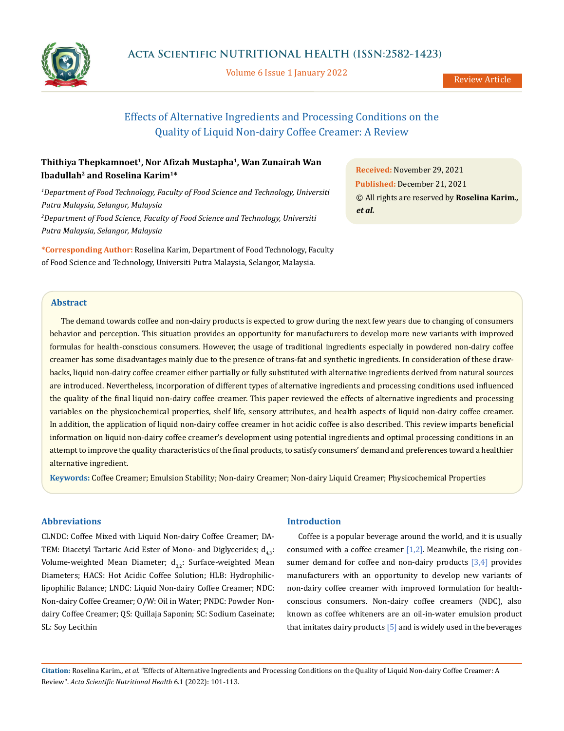

Volume 6 Issue 1 January 2022

# Effects of Alternative Ingredients and Processing Conditions on the Quality of Liquid Non-dairy Coffee Creamer: A Review

## **Thithiya Thepkamnoet1, Nor Afizah Mustapha<sup>1</sup>, Wan Zunairah Wan Ibadullah<sup>2</sup> and Roselina Karim1\***

*1 Department of Food Technology, Faculty of Food Science and Technology, Universiti Putra Malaysia, Selangor, Malaysia 2 Department of Food Science, Faculty of Food Science and Technology, Universiti Putra Malaysia, Selangor, Malaysia*

**\*Corresponding Author:** Roselina Karim, Department of Food Technology, Faculty of Food Science and Technology, Universiti Putra Malaysia, Selangor, Malaysia.

**Received:** November 29, 2021 **Published:** December 21, 2021 © All rights are reserved by **Roselina Karim***., et al.*

## **Abstract**

The demand towards coffee and non-dairy products is expected to grow during the next few years due to changing of consumers behavior and perception. This situation provides an opportunity for manufacturers to develop more new variants with improved formulas for health-conscious consumers. However, the usage of traditional ingredients especially in powdered non-dairy coffee creamer has some disadvantages mainly due to the presence of trans-fat and synthetic ingredients. In consideration of these drawbacks, liquid non-dairy coffee creamer either partially or fully substituted with alternative ingredients derived from natural sources are introduced. Nevertheless, incorporation of different types of alternative ingredients and processing conditions used influenced the quality of the final liquid non-dairy coffee creamer. This paper reviewed the effects of alternative ingredients and processing variables on the physicochemical properties, shelf life, sensory attributes, and health aspects of liquid non-dairy coffee creamer. In addition, the application of liquid non-dairy coffee creamer in hot acidic coffee is also described. This review imparts beneficial information on liquid non-dairy coffee creamer's development using potential ingredients and optimal processing conditions in an attempt to improve the quality characteristics of the final products, to satisfy consumers' demand and preferences toward a healthier alternative ingredient.

**Keywords:** Coffee Creamer; Emulsion Stability; Non-dairy Creamer; Non-dairy Liquid Creamer; Physicochemical Properties

## **Abbreviations**

CLNDC: Coffee Mixed with Liquid Non-dairy Coffee Creamer; DA-TEM: Diacetyl Tartaric Acid Ester of Mono- and Diglycerides;  $d_{4,3}$ : Volume-weighted Mean Diameter;  $d_{3,2}$ : Surface-weighted Mean Diameters; HACS: Hot Acidic Coffee Solution; HLB: Hydrophiliclipophilic Balance; LNDC: Liquid Non-dairy Coffee Creamer; NDC: Non-dairy Coffee Creamer; O/W: Oil in Water; PNDC: Powder Nondairy Coffee Creamer; QS: Quillaja Saponin; SC: Sodium Caseinate; SL: Soy Lecithin

### **Introduction**

Coffee is a popular beverage around the world, and it is usually consumed with a coffee creamer  $[1,2]$ . Meanwhile, the rising consumer demand for coffee and non-dairy products  $[3,4]$  provides manufacturers with an opportunity to develop new variants of non-dairy coffee creamer with improved formulation for healthconscious consumers. Non-dairy coffee creamers (NDC), also known as coffee whiteners are an oil-in-water emulsion product that imitates dairy products  $[5]$  and is widely used in the beverages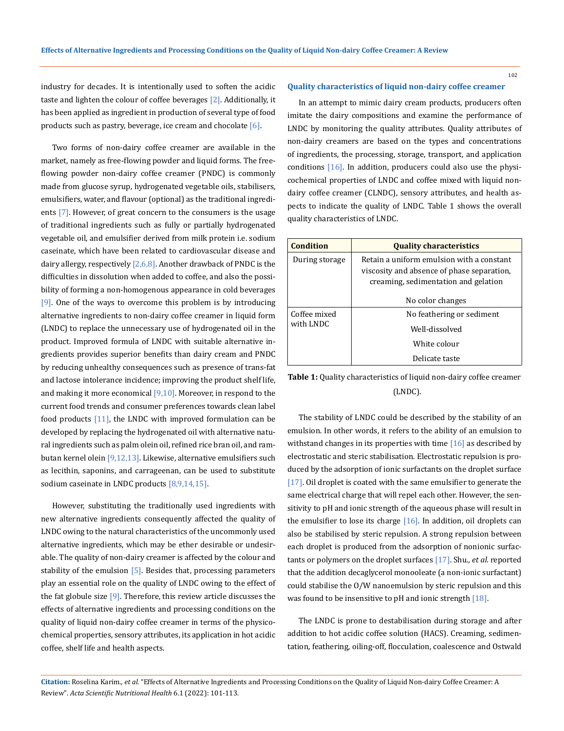industry for decades. It is intentionally used to soften the acidic taste and lighten the colour of coffee beverages [2]. Additionally, it has been applied as ingredient in production of several type of food products such as pastry, beverage, ice cream and chocolate  $[6]$ .

Two forms of non-dairy coffee creamer are available in the market, namely as free-flowing powder and liquid forms. The freeflowing powder non-dairy coffee creamer (PNDC) is commonly made from glucose syrup, hydrogenated vegetable oils, stabilisers, emulsifiers, water, and flavour (optional) as the traditional ingredients [7]. However, of great concern to the consumers is the usage of traditional ingredients such as fully or partially hydrogenated vegetable oil, and emulsifier derived from milk protein i.e. sodium caseinate, which have been related to cardiovascular disease and dairy allergy, respectively  $[2,6,8]$ . Another drawback of PNDC is the difficulties in dissolution when added to coffee, and also the possibility of forming a non-homogenous appearance in cold beverages [9]. One of the ways to overcome this problem is by introducing alternative ingredients to non-dairy coffee creamer in liquid form (LNDC) to replace the unnecessary use of hydrogenated oil in the product. Improved formula of LNDC with suitable alternative ingredients provides superior benefits than dairy cream and PNDC by reducing unhealthy consequences such as presence of trans-fat and lactose intolerance incidence; improving the product shelf life, and making it more economical  $[9,10]$ . Moreover, in respond to the current food trends and consumer preferences towards clean label food products  $[11]$ , the LNDC with improved formulation can be developed by replacing the hydrogenated oil with alternative natural ingredients such as palm olein oil, refined rice bran oil, and rambutan kernel olein [9,12,13]. Likewise, alternative emulsifiers such as lecithin, saponins, and carrageenan, can be used to substitute sodium caseinate in LNDC products  $[8,9,14,15]$ .

However, substituting the traditionally used ingredients with new alternative ingredients consequently affected the quality of LNDC owing to the natural characteristics of the uncommonly used alternative ingredients, which may be ether desirable or undesirable. The quality of non-dairy creamer is affected by the colour and stability of the emulsion  $[5]$ . Besides that, processing parameters play an essential role on the quality of LNDC owing to the effect of the fat globule size  $[9]$ . Therefore, this review article discusses the effects of alternative ingredients and processing conditions on the quality of liquid non-dairy coffee creamer in terms of the physicochemical properties, sensory attributes, its application in hot acidic coffee, shelf life and health aspects.

### **Quality characteristics of liquid non-dairy coffee creamer**

In an attempt to mimic dairy cream products, producers often imitate the dairy compositions and examine the performance of LNDC by monitoring the quality attributes. Quality attributes of non-dairy creamers are based on the types and concentrations of ingredients, the processing, storage, transport, and application conditions [16]. In addition, producers could also use the physicochemical properties of LNDC and coffee mixed with liquid nondairy coffee creamer (CLNDC), sensory attributes, and health aspects to indicate the quality of LNDC. Table 1 shows the overall quality characteristics of LNDC.

| Condition                 | <b>Quality characteristics</b>                                                                                                  |  |  |  |  |
|---------------------------|---------------------------------------------------------------------------------------------------------------------------------|--|--|--|--|
| During storage            | Retain a uniform emulsion with a constant<br>viscosity and absence of phase separation,<br>creaming, sedimentation and gelation |  |  |  |  |
|                           | No color changes                                                                                                                |  |  |  |  |
| Coffee mixed<br>with LNDC | No feathering or sediment                                                                                                       |  |  |  |  |
|                           | Well-dissolved                                                                                                                  |  |  |  |  |
|                           | White colour                                                                                                                    |  |  |  |  |
|                           | Delicate taste                                                                                                                  |  |  |  |  |

**Table 1:** Quality characteristics of liquid non-dairy coffee creamer (LNDC).

The stability of LNDC could be described by the stability of an emulsion. In other words, it refers to the ability of an emulsion to withstand changes in its properties with time  $[16]$  as described by electrostatic and steric stabilisation. Electrostatic repulsion is produced by the adsorption of ionic surfactants on the droplet surface [17]. Oil droplet is coated with the same emulsifier to generate the same electrical charge that will repel each other. However, the sensitivity to pH and ionic strength of the aqueous phase will result in the emulsifier to lose its charge  $[16]$ . In addition, oil droplets can also be stabilised by steric repulsion. A strong repulsion between each droplet is produced from the adsorption of nonionic surfactants or polymers on the droplet surfaces [17]. Shu*., et al.* reported that the addition decaglycerol monooleate (a non-ionic surfactant) could stabilise the O/W nanoemulsion by steric repulsion and this was found to be insensitive to pH and ionic strength [18].

The LNDC is prone to destabilisation during storage and after addition to hot acidic coffee solution (HACS). Creaming, sedimentation, feathering, oiling-off, flocculation, coalescence and Ostwald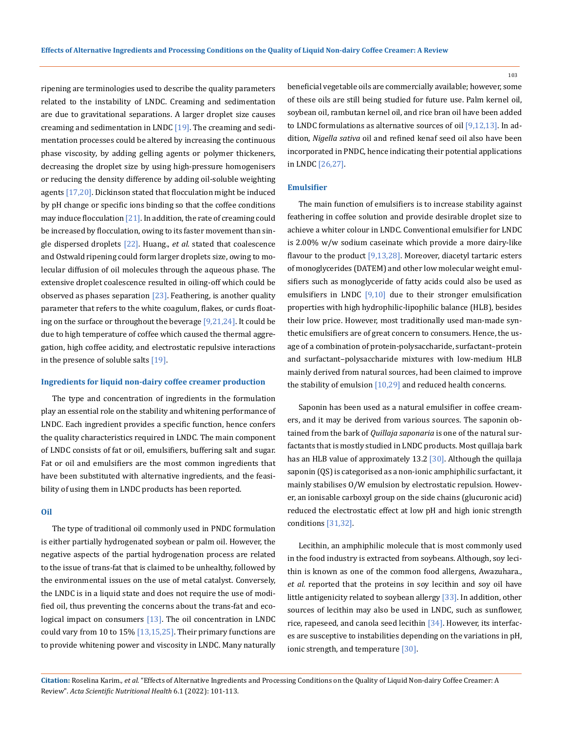ripening are terminologies used to describe the quality parameters related to the instability of LNDC. Creaming and sedimentation are due to gravitational separations. A larger droplet size causes creaming and sedimentation in LNDC  $[19]$ . The creaming and sedimentation processes could be altered by increasing the continuous phase viscosity, by adding gelling agents or polymer thickeners, decreasing the droplet size by using high-pressure homogenisers or reducing the density difference by adding oil-soluble weighting agents [17,20]. Dickinson stated that flocculation might be induced by pH change or specific ions binding so that the coffee conditions may induce flocculation [21]. In addition, the rate of creaming could be increased by flocculation, owing to its faster movement than single dispersed droplets [22]. Huang., *et al.* stated that coalescence and Ostwald ripening could form larger droplets size, owing to molecular diffusion of oil molecules through the aqueous phase. The extensive droplet coalescence resulted in oiling-off which could be observed as phases separation  $[23]$ . Feathering, is another quality parameter that refers to the white coagulum, flakes, or curds floating on the surface or throughout the beverage [9,21,24]. It could be due to high temperature of coffee which caused the thermal aggregation, high coffee acidity, and electrostatic repulsive interactions in the presence of soluble salts [19].

### **Ingredients for liquid non-dairy coffee creamer production**

The type and concentration of ingredients in the formulation play an essential role on the stability and whitening performance of LNDC. Each ingredient provides a specific function, hence confers the quality characteristics required in LNDC. The main component of LNDC consists of fat or oil, emulsifiers, buffering salt and sugar. Fat or oil and emulsifiers are the most common ingredients that have been substituted with alternative ingredients, and the feasibility of using them in LNDC products has been reported.

## **Oil**

The type of traditional oil commonly used in PNDC formulation is either partially hydrogenated soybean or palm oil. However, the negative aspects of the partial hydrogenation process are related to the issue of trans-fat that is claimed to be unhealthy, followed by the environmental issues on the use of metal catalyst. Conversely, the LNDC is in a liquid state and does not require the use of modified oil, thus preventing the concerns about the trans-fat and ecological impact on consumers [13]. The oil concentration in LNDC could vary from 10 to 15%  $[13,15,25]$ . Their primary functions are to provide whitening power and viscosity in LNDC. Many naturally

beneficial vegetable oils are commercially available; however, some of these oils are still being studied for future use. Palm kernel oil, soybean oil, rambutan kernel oil, and rice bran oil have been added to LNDC formulations as alternative sources of oil [9,12,13]. In addition, *Nigella sativa* oil and refined kenaf seed oil also have been incorporated in PNDC, hence indicating their potential applications in LNDC [26,27].

### **Emulsifier**

The main function of emulsifiers is to increase stability against feathering in coffee solution and provide desirable droplet size to achieve a whiter colour in LNDC. Conventional emulsifier for LNDC is 2.00% w/w sodium caseinate which provide a more dairy-like flavour to the product [9,13,28]. Moreover, diacetyl tartaric esters of monoglycerides (DATEM) and other low molecular weight emulsifiers such as monoglyceride of fatty acids could also be used as emulsifiers in LNDC  $[9,10]$  due to their stronger emulsification properties with high hydrophilic-lipophilic balance (HLB), besides their low price. However, most traditionally used man-made synthetic emulsifiers are of great concern to consumers. Hence, the usage of a combination of protein-polysaccharide, surfactant–protein and surfactant–polysaccharide mixtures with low-medium HLB mainly derived from natural sources, had been claimed to improve the stability of emulsion [10,29] and reduced health concerns.

Saponin has been used as a natural emulsifier in coffee creamers, and it may be derived from various sources. The saponin obtained from the bark of *Quillaja saponaria* is one of the natural surfactants that is mostly studied in LNDC products. Most quillaja bark has an HLB value of approximately 13.2 [30]. Although the quillaja saponin (QS) is categorised as a non-ionic amphiphilic surfactant, it mainly stabilises O/W emulsion by electrostatic repulsion. However, an ionisable carboxyl group on the side chains (glucuronic acid) reduced the electrostatic effect at low pH and high ionic strength conditions [31,32].

Lecithin, an amphiphilic molecule that is most commonly used in the food industry is extracted from soybeans. Although, soy lecithin is known as one of the common food allergens, Awazuhara., *et al.* reported that the proteins in soy lecithin and soy oil have little antigenicity related to soybean allergy [33]. In addition, other sources of lecithin may also be used in LNDC, such as sunflower, rice, rapeseed, and canola seed lecithin [34]. However, its interfaces are susceptive to instabilities depending on the variations in pH, ionic strength, and temperature [30].

**Citation:** Roselina Karim*., et al.* "Effects of Alternative Ingredients and Processing Conditions on the Quality of Liquid Non-dairy Coffee Creamer: A Review". *Acta Scientific Nutritional Health* 6.1 (2022): 101-113.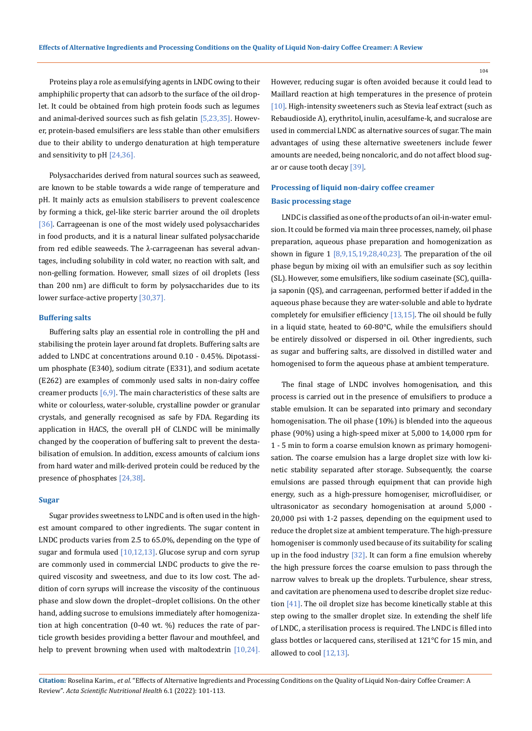Proteins play a role as emulsifying agents in LNDC owing to their amphiphilic property that can adsorb to the surface of the oil droplet. It could be obtained from high protein foods such as legumes and animal-derived sources such as fish gelatin [5,23,35]. However, protein-based emulsifiers are less stable than other emulsifiers due to their ability to undergo denaturation at high temperature and sensitivity to pH [24,36].

Polysaccharides derived from natural sources such as seaweed, are known to be stable towards a wide range of temperature and pH. It mainly acts as emulsion stabilisers to prevent coalescence by forming a thick, gel-like steric barrier around the oil droplets [36]. Carrageenan is one of the most widely used polysaccharides in food products, and it is a natural linear sulfated polysaccharide from red edible seaweeds. The λ-carrageenan has several advantages, including solubility in cold water, no reaction with salt, and non-gelling formation. However, small sizes of oil droplets (less than 200 nm) are difficult to form by polysaccharides due to its lower surface-active property [30,37].

## **Buffering salts**

Buffering salts play an essential role in controlling the pH and stabilising the protein layer around fat droplets. Buffering salts are added to LNDC at concentrations around 0.10 - 0.45%. Dipotassium phosphate (E340), sodium citrate (E331), and sodium acetate (E262) are examples of commonly used salts in non-dairy coffee creamer products  $[6,9]$ . The main characteristics of these salts are white or colourless, water-soluble, crystalline powder or granular crystals, and generally recognised as safe by FDA. Regarding its application in HACS, the overall pH of CLNDC will be minimally changed by the cooperation of buffering salt to prevent the destabilisation of emulsion. In addition, excess amounts of calcium ions from hard water and milk-derived protein could be reduced by the presence of phosphates [24,38].

## **Sugar**

Sugar provides sweetness to LNDC and is often used in the highest amount compared to other ingredients. The sugar content in LNDC products varies from 2.5 to 65.0%, depending on the type of sugar and formula used [10,12,13]. Glucose syrup and corn syrup are commonly used in commercial LNDC products to give the required viscosity and sweetness, and due to its low cost. The addition of corn syrups will increase the viscosity of the continuous phase and slow down the droplet–droplet collisions. On the other hand, adding sucrose to emulsions immediately after homogenization at high concentration (0-40 wt. %) reduces the rate of particle growth besides providing a better flavour and mouthfeel, and help to prevent browning when used with maltodextrin [10,24].

However, reducing sugar is often avoided because it could lead to Maillard reaction at high temperatures in the presence of protein [10]. High-intensity sweeteners such as Stevia leaf extract (such as Rebaudioside A), erythritol, inulin, acesulfame-k, and sucralose are used in commercial LNDC as alternative sources of sugar. The main advantages of using these alternative sweeteners include fewer amounts are needed, being noncaloric, and do not affect blood sugar or cause tooth decay [39].

## **Processing of liquid non-dairy coffee creamer Basic processing stage**

LNDC is classified as one of the products of an oil-in-water emulsion. It could be formed via main three processes, namely, oil phase preparation, aqueous phase preparation and homogenization as shown in figure  $1 [8,9,15,19,28,40,23]$ . The preparation of the oil phase begun by mixing oil with an emulsifier such as soy lecithin (SL). However, some emulsifiers, like sodium caseinate (SC), quillaja saponin (QS), and carrageenan, performed better if added in the aqueous phase because they are water-soluble and able to hydrate completely for emulsifier efficiency [13,15]. The oil should be fully in a liquid state, heated to 60-80°C, while the emulsifiers should be entirely dissolved or dispersed in oil. Other ingredients, such as sugar and buffering salts, are dissolved in distilled water and homogenised to form the aqueous phase at ambient temperature.

The final stage of LNDC involves homogenisation, and this process is carried out in the presence of emulsifiers to produce a stable emulsion. It can be separated into primary and secondary homogenisation. The oil phase (10%) is blended into the aqueous phase (90%) using a high-speed mixer at 5,000 to 14,000 rpm for 1 - 5 min to form a coarse emulsion known as primary homogenisation. The coarse emulsion has a large droplet size with low kinetic stability separated after storage. Subsequently, the coarse emulsions are passed through equipment that can provide high energy, such as a high-pressure homogeniser, microfluidiser, or ultrasonicator as secondary homogenisation at around 5,000 - 20,000 psi with 1-2 passes, depending on the equipment used to reduce the droplet size at ambient temperature. The high-pressure homogeniser is commonly used because of its suitability for scaling up in the food industry  $[32]$ . It can form a fine emulsion whereby the high pressure forces the coarse emulsion to pass through the narrow valves to break up the droplets. Turbulence, shear stress, and cavitation are phenomena used to describe droplet size reduction [41]. The oil droplet size has become kinetically stable at this step owing to the smaller droplet size. In extending the shelf life of LNDC, a sterilisation process is required. The LNDC is filled into glass bottles or lacquered cans, sterilised at 121°C for 15 min, and allowed to cool [12,13].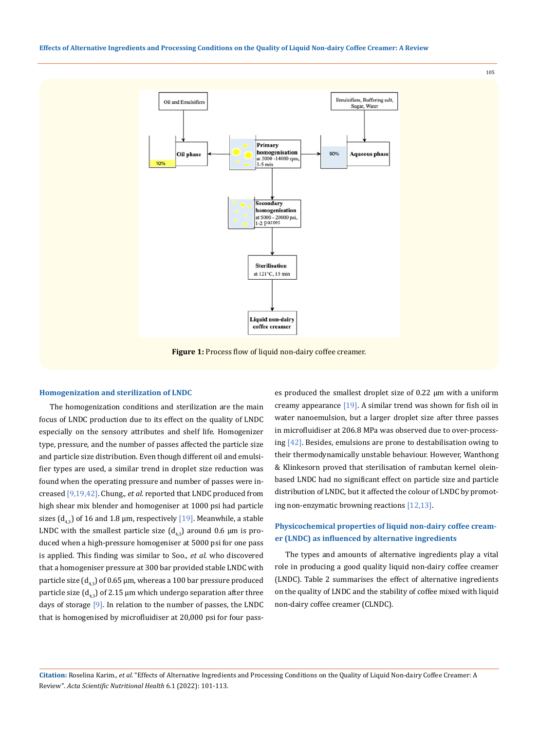#### **Effects of Alternative Ingredients and Processing Conditions on the Quality of Liquid Non-dairy Coffee Creamer: A Review**



## **Homogenization and sterilization of LNDC**

The homogenization conditions and sterilization are the main focus of LNDC production due to its effect on the quality of LNDC especially on the sensory attributes and shelf life. Homogenizer type, pressure, and the number of passes affected the particle size and particle size distribution. Even though different oil and emulsifier types are used, a similar trend in droplet size reduction was found when the operating pressure and number of passes were increased [9,19,42]. Chung.*, et al.* reported that LNDC produced from high shear mix blender and homogeniser at 1000 psi had particle sizes  $(d_{42})$  of 16 and 1.8 µm, respectively [19]. Meanwhile, a stable LNDC with the smallest particle size  $(d_{4,3})$  around 0.6  $\mu$ m is produced when a high-pressure homogeniser at 5000 psi for one pass is applied. This finding was similar to Soo*., et al.* who discovered that a homogeniser pressure at 300 bar provided stable LNDC with particle size  $(d_{43})$  of 0.65 µm, whereas a 100 bar pressure produced particle size  $(d_{42})$  of 2.15 µm which undergo separation after three days of storage  $[9]$ . In relation to the number of passes, the LNDC that is homogenised by microfluidiser at 20,000 psi for four passes produced the smallest droplet size of 0.22 μm with a uniform creamy appearance [19]. A similar trend was shown for fish oil in water nanoemulsion, but a larger droplet size after three passes in microfluidiser at 206.8 MPa was observed due to over-processing [42]. Besides, emulsions are prone to destabilisation owing to their thermodynamically unstable behaviour. However, Wanthong & Klinkesorn proved that sterilisation of rambutan kernel oleinbased LNDC had no significant effect on particle size and particle distribution of LNDC, but it affected the colour of LNDC by promoting non-enzymatic browning reactions [12,13].

## **Physicochemical properties of liquid non-dairy coffee creamer (LNDC) as influenced by alternative ingredients**

The types and amounts of alternative ingredients play a vital role in producing a good quality liquid non-dairy coffee creamer (LNDC). Table 2 summarises the effect of alternative ingredients on the quality of LNDC and the stability of coffee mixed with liquid non-dairy coffee creamer (CLNDC).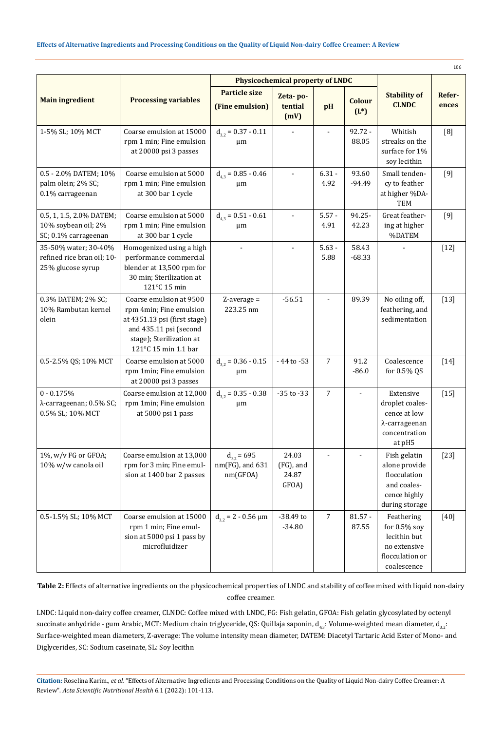| 106                                                                     |                                                                                                                                                                  |                                                  |                                      |                  |                          |                                                                                                 |                 |  |  |
|-------------------------------------------------------------------------|------------------------------------------------------------------------------------------------------------------------------------------------------------------|--------------------------------------------------|--------------------------------------|------------------|--------------------------|-------------------------------------------------------------------------------------------------|-----------------|--|--|
|                                                                         |                                                                                                                                                                  | <b>Physicochemical property of LNDC</b>          |                                      |                  |                          |                                                                                                 |                 |  |  |
| <b>Main ingredient</b>                                                  | <b>Processing variables</b>                                                                                                                                      | <b>Particle size</b><br>(Fine emulsion)          | Zeta-po-<br>tential<br>(mV)          | pH               | <b>Colour</b><br>$(L^*)$ | <b>Stability of</b><br><b>CLNDC</b>                                                             | Refer-<br>ences |  |  |
| 1-5% SL; 10% MCT                                                        | Coarse emulsion at 15000<br>rpm 1 min; Fine emulsion<br>at 20000 psi 3 passes                                                                                    | $d_{3.2} = 0.37 - 0.11$<br>$\mu$ m               | $\overline{a}$                       |                  | $92.72 -$<br>88.05       | Whitish<br>streaks on the<br>surface for 1%<br>soy lecithin                                     | [8]             |  |  |
| 0.5 - 2.0% DATEM; 10%<br>palm olein; 2% SC;<br>0.1% carrageenan         | Coarse emulsion at 5000<br>rpm 1 min; Fine emulsion<br>at 300 bar 1 cycle                                                                                        | $d_{43} = 0.85 - 0.46$<br>μm                     |                                      | $6.31 -$<br>4.92 | 93.60<br>$-94.49$        | Small tenden-<br>cy to feather<br>at higher %DA-<br><b>TEM</b>                                  | [9]             |  |  |
| 0.5, 1, 1.5, 2.0% DATEM;<br>10% soybean oil; 2%<br>SC; 0.1% carrageenan | Coarse emulsion at 5000<br>rpm 1 min; Fine emulsion<br>at 300 bar 1 cycle                                                                                        | $d_{4.3} = 0.51 - 0.61$<br>μm                    | $\overline{\phantom{a}}$             | $5.57 -$<br>4.91 | 94.25-<br>42.23          | Great feather-<br>ing at higher<br>%DATEM                                                       | [9]             |  |  |
| 35-50% water; 30-40%<br>refined rice bran oil; 10-<br>25% glucose syrup | Homogenized using a high<br>performance commercial<br>blender at 13,500 rpm for<br>30 min; Sterilization at<br>121°C 15 min                                      |                                                  |                                      | $5.63 -$<br>5.88 | 58.43<br>$-68.33$        |                                                                                                 | $[12]$          |  |  |
| 0.3% DATEM; 2% SC;<br>10% Rambutan kernel<br>olein                      | Coarse emulsion at 9500<br>rpm 4min; Fine emulsion<br>at 4351.13 psi (first stage)<br>and 435.11 psi (second<br>stage); Sterilization at<br>121°C 15 min 1.1 bar | $Z$ -average =<br>223.25 nm                      | $-56.51$                             |                  | 89.39                    | No oiling off,<br>feathering, and<br>sedimentation                                              | $[13]$          |  |  |
| 0.5-2.5% QS; 10% MCT                                                    | Coarse emulsion at 5000<br>rpm 1min; Fine emulsion<br>at 20000 psi 3 passes                                                                                      | $d_{3,2} = 0.36 - 0.15$<br>$\mu$ m               | - 44 to -53                          | 7                | 91.2<br>$-86.0$          | Coalescence<br>for 0.5% QS                                                                      | $[14]$          |  |  |
| $0 - 0.175%$<br>λ-carrageenan; 0.5% SC;<br>0.5% SL; 10% MCT             | Coarse emulsion at 12,000<br>rpm 1min; Fine emulsion<br>at 5000 psi 1 pass                                                                                       | $d_{32} = 0.35 - 0.38$<br>μm                     | $-35$ to $-33$                       | $\overline{7}$   | $\blacksquare$           | Extensive<br>droplet coales-<br>cence at low<br>λ-carrageenan<br>concentration<br>at pH5        | $[15]$          |  |  |
| 1%, w/v FG or GFOA;<br>10% w/w canola oil                               | Coarse emulsion at 13,000<br>rpm for 3 min; Fine emul-<br>sion at 1400 bar 2 passes                                                                              | $d_{32}$ = 695<br>$nm(FG)$ , and 631<br>nm(GFOA) | 24.03<br>(FG), and<br>24.87<br>GFOA) |                  |                          | Fish gelatin<br>alone provide<br>flocculation<br>and coales-<br>cence highly<br>during storage  | $[23]$          |  |  |
| 0.5-1.5% SL; 10% MCT                                                    | Coarse emulsion at 15000<br>rpm 1 min; Fine emul-<br>sion at 5000 psi 1 pass by<br>microfluidizer                                                                | $d_{32} = 2 - 0.56 \mu m$                        | $-38.49$ to<br>$-34.80$              | $\overline{7}$   | $81.57 -$<br>87.55       | Feathering<br>for $0.5\%$ soy<br>lecithin but<br>no extensive<br>flocculation or<br>coalescence | $[40]$          |  |  |

**Table 2:** Effects of alternative ingredients on the physicochemical properties of LNDC and stability of coffee mixed with liquid non-dairy coffee creamer.

LNDC: Liquid non-dairy coffee creamer, CLNDC: Coffee mixed with LNDC, FG: Fish gelatin, GFOA: Fish gelatin glycosylated by octenyl succinate anhydride - gum Arabic, MCT: Medium chain triglyceride, QS: Quillaja saponin,  $d_{4,3}$ : Volume-weighted mean diameter,  $d_{3,2}$ : Surface-weighted mean diameters, Z-average: The volume intensity mean diameter, DATEM: Diacetyl Tartaric Acid Ester of Mono- and Diglycerides, SC: Sodium caseinate, SL: Soy lecithn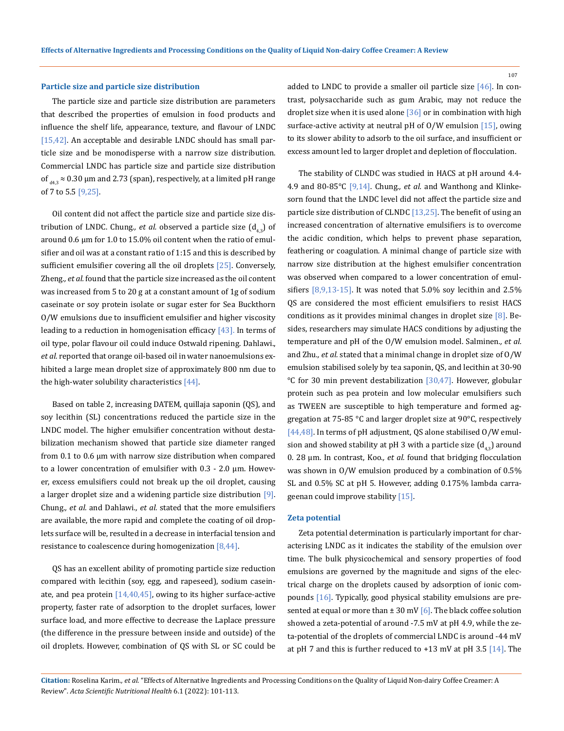#### 107

### **Particle size and particle size distribution**

The particle size and particle size distribution are parameters that described the properties of emulsion in food products and influence the shelf life, appearance, texture, and flavour of LNDC [15,42]. An acceptable and desirable LNDC should has small particle size and be monodisperse with a narrow size distribution. Commercial LNDC has particle size and particle size distribution of  $_{d4,3}$  ≈ 0.30 µm and 2.73 (span), respectively, at a limited pH range of 7 to 5.5 [9,25].

Oil content did not affect the particle size and particle size distribution of LNDC. Chung., et al. observed a particle size  $(d_{42})$  of around 0.6 μm for 1.0 to 15.0% oil content when the ratio of emulsifier and oil was at a constant ratio of 1:15 and this is described by sufficient emulsifier covering all the oil droplets  $[25]$ . Conversely, Zheng*., et al.* found that the particle size increased as the oil content was increased from 5 to 20 g at a constant amount of 1g of sodium caseinate or soy protein isolate or sugar ester for Sea Buckthorn O/W emulsions due to insufficient emulsifier and higher viscosity leading to a reduction in homogenisation efficacy  $[43]$ . In terms of oil type, polar flavour oil could induce Ostwald ripening. Dahlawi., *et al.* reported that orange oil-based oil in water nanoemulsions exhibited a large mean droplet size of approximately 800 nm due to the high-water solubility characteristics  $[44]$ .

Based on table 2, increasing DATEM, quillaja saponin (QS), and soy lecithin (SL) concentrations reduced the particle size in the LNDC model. The higher emulsifier concentration without destabilization mechanism showed that particle size diameter ranged from 0.1 to 0.6 μm with narrow size distribution when compared to a lower concentration of emulsifier with 0.3 - 2.0 μm. However, excess emulsifiers could not break up the oil droplet, causing a larger droplet size and a widening particle size distribution [9]. Chung*., et al.* and Dahlawi*., et al.* stated that the more emulsifiers are available, the more rapid and complete the coating of oil droplets surface will be, resulted in a decrease in interfacial tension and resistance to coalescence during homogenization [8,44].

QS has an excellent ability of promoting particle size reduction compared with lecithin (soy, egg, and rapeseed), sodium caseinate, and pea protein  $[14,40,45]$ , owing to its higher surface-active property, faster rate of adsorption to the droplet surfaces, lower surface load, and more effective to decrease the Laplace pressure (the difference in the pressure between inside and outside) of the oil droplets. However, combination of QS with SL or SC could be added to LNDC to provide a smaller oil particle size  $[46]$ . In contrast, polysaccharide such as gum Arabic, may not reduce the droplet size when it is used alone [36] or in combination with high surface-active activity at neutral pH of  $O/W$  emulsion [15], owing to its slower ability to adsorb to the oil surface, and insufficient or excess amount led to larger droplet and depletion of flocculation.

The stability of CLNDC was studied in HACS at pH around 4.4- 4.9 and 80-85°C [9,14]. Chung*., et al.* and Wanthong and Klinkesorn found that the LNDC level did not affect the particle size and particle size distribution of CLNDC [13,25]. The benefit of using an increased concentration of alternative emulsifiers is to overcome the acidic condition, which helps to prevent phase separation, feathering or coagulation. A minimal change of particle size with narrow size distribution at the highest emulsifier concentration was observed when compared to a lower concentration of emulsifiers [8,9,13-15]. It was noted that 5.0% soy lecithin and 2.5% QS are considered the most efficient emulsifiers to resist HACS conditions as it provides minimal changes in droplet size [8]. Besides, researchers may simulate HACS conditions by adjusting the temperature and pH of the O/W emulsion model. Salminen*., et al.* and Zhu*., et al.* stated that a minimal change in droplet size of O/W emulsion stabilised solely by tea saponin, QS, and lecithin at 30-90 °C for 30 min prevent destabilization [30,47]. However, globular protein such as pea protein and low molecular emulsifiers such as TWEEN are susceptible to high temperature and formed aggregation at 75-85 °C and larger droplet size at 90°C, respectively [44,48]. In terms of pH adjustment, QS alone stabilised O/W emulsion and showed stability at pH 3 with a particle size  $(d_{43})$  around 0. 28 μm. In contrast, Koo*., et al.* found that bridging flocculation was shown in O/W emulsion produced by a combination of 0.5% SL and 0.5% SC at pH 5. However, adding 0.175% lambda carrageenan could improve stability [15].

### **Zeta potential**

Zeta potential determination is particularly important for characterising LNDC as it indicates the stability of the emulsion over time. The bulk physicochemical and sensory properties of food emulsions are governed by the magnitude and signs of the electrical charge on the droplets caused by adsorption of ionic compounds [16]. Typically, good physical stability emulsions are presented at equal or more than  $\pm 30$  mV [6]. The black coffee solution showed a zeta-potential of around -7.5 mV at pH 4.9, while the zeta-potential of the droplets of commercial LNDC is around -44 mV at pH 7 and this is further reduced to  $+13$  mV at pH 3.5 [14]. The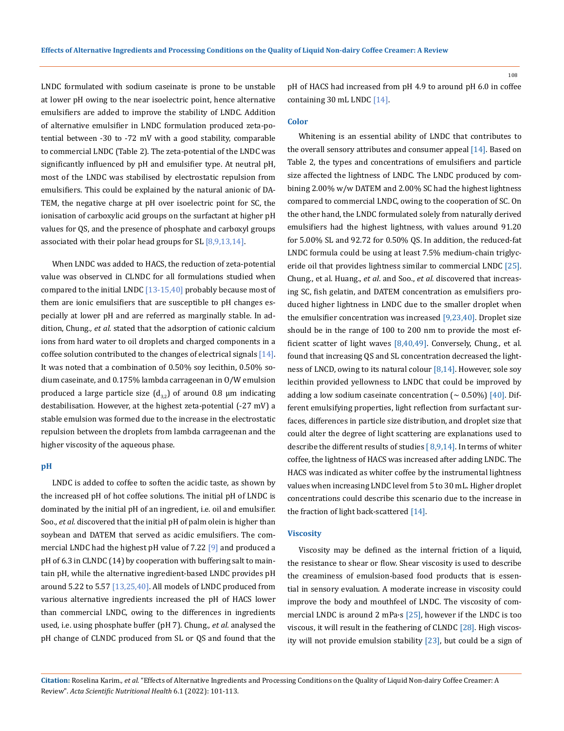LNDC formulated with sodium caseinate is prone to be unstable at lower pH owing to the near isoelectric point, hence alternative emulsifiers are added to improve the stability of LNDC. Addition of alternative emulsifier in LNDC formulation produced zeta-potential between -30 to -72 mV with a good stability, comparable to commercial LNDC (Table 2). The zeta-potential of the LNDC was significantly influenced by pH and emulsifier type. At neutral pH, most of the LNDC was stabilised by electrostatic repulsion from emulsifiers. This could be explained by the natural anionic of DA-TEM, the negative charge at pH over isoelectric point for SC, the ionisation of carboxylic acid groups on the surfactant at higher pH values for QS, and the presence of phosphate and carboxyl groups associated with their polar head groups for SL [8,9,13,14].

When LNDC was added to HACS, the reduction of zeta-potential value was observed in CLNDC for all formulations studied when compared to the initial LNDC  $[13-15,40]$  probably because most of them are ionic emulsifiers that are susceptible to pH changes especially at lower pH and are referred as marginally stable. In addition, Chung*., et al.* stated that the adsorption of cationic calcium ions from hard water to oil droplets and charged components in a coffee solution contributed to the changes of electrical signals [14]. It was noted that a combination of 0.50% soy lecithin, 0.50% sodium caseinate, and 0.175% lambda carrageenan in O/W emulsion produced a large particle size  $(d_{32})$  of around 0.8 µm indicating destabilisation. However, at the highest zeta-potential (-27 mV) a stable emulsion was formed due to the increase in the electrostatic repulsion between the droplets from lambda carrageenan and the higher viscosity of the aqueous phase.

### **pH**

LNDC is added to coffee to soften the acidic taste, as shown by the increased pH of hot coffee solutions. The initial pH of LNDC is dominated by the initial pH of an ingredient, i.e. oil and emulsifier. Soo*., et al.* discovered that the initial pH of palm olein is higher than soybean and DATEM that served as acidic emulsifiers. The commercial LNDC had the highest pH value of 7.22 [9] and produced a pH of 6.3 in CLNDC (14) by cooperation with buffering salt to maintain pH, while the alternative ingredient-based LNDC provides pH around 5.22 to 5.57  $[13,25,40]$ . All models of LNDC produced from various alternative ingredients increased the pH of HACS lower than commercial LNDC, owing to the differences in ingredients used, i.e. using phosphate buffer (pH 7). Chung*., et al.* analysed the pH change of CLNDC produced from SL or QS and found that the pH of HACS had increased from pH 4.9 to around pH 6.0 in coffee containing 30 mL LNDC [14].

### **Color**

Whitening is an essential ability of LNDC that contributes to the overall sensory attributes and consumer appeal [14]. Based on Table 2, the types and concentrations of emulsifiers and particle size affected the lightness of LNDC. The LNDC produced by combining 2.00% w/w DATEM and 2.00% SC had the highest lightness compared to commercial LNDC, owing to the cooperation of SC. On the other hand, the LNDC formulated solely from naturally derived emulsifiers had the highest lightness, with values around 91.20 for 5.00% SL and 92.72 for 0.50% QS. In addition, the reduced-fat LNDC formula could be using at least 7.5% medium-chain triglyceride oil that provides lightness similar to commercial LNDC [25]. Chung., et al. Huang., *et al*. and Soo., *et al*. discovered that increasing SC, fish gelatin, and DATEM concentration as emulsifiers produced higher lightness in LNDC due to the smaller droplet when the emulsifier concentration was increased [9,23,40]. Droplet size should be in the range of 100 to 200 nm to provide the most efficient scatter of light waves [8,40,49]. Conversely, Chung., et al. found that increasing QS and SL concentration decreased the lightness of LNCD, owing to its natural colour [8,14]. However, sole soy lecithin provided yellowness to LNDC that could be improved by adding a low sodium caseinate concentration ( $\sim 0.50\%$ ) [40]. Different emulsifying properties, light reflection from surfactant surfaces, differences in particle size distribution, and droplet size that could alter the degree of light scattering are explanations used to describe the different results of studies  $[8,9,14]$ . In terms of whiter coffee, the lightness of HACS was increased after adding LNDC. The HACS was indicated as whiter coffee by the instrumental lightness values when increasing LNDC level from 5 to 30 mL. Higher droplet concentrations could describe this scenario due to the increase in the fraction of light back-scattered [14].

## **Viscosity**

Viscosity may be defined as the internal friction of a liquid, the resistance to shear or flow. Shear viscosity is used to describe the creaminess of emulsion-based food products that is essential in sensory evaluation. A moderate increase in viscosity could improve the body and mouthfeel of LNDC. The viscosity of commercial LNDC is around 2 mPa·s [25], however if the LNDC is too viscous, it will result in the feathering of CLNDC [28]. High viscosity will not provide emulsion stability  $[23]$ , but could be a sign of

**Citation:** Roselina Karim*., et al.* "Effects of Alternative Ingredients and Processing Conditions on the Quality of Liquid Non-dairy Coffee Creamer: A Review". *Acta Scientific Nutritional Health* 6.1 (2022): 101-113.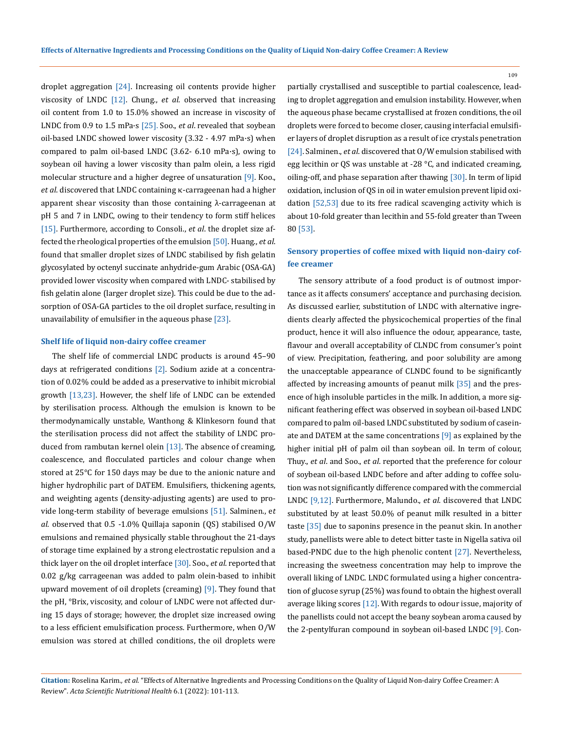droplet aggregation  $[24]$ . Increasing oil contents provide higher viscosity of LNDC [12]. Chung., *et al*. observed that increasing oil content from 1.0 to 15.0% showed an increase in viscosity of LNDC from 0.9 to 1.5 mPa·s [25]. Soo., *et al*. revealed that soybean oil-based LNDC showed lower viscosity (3.32 - 4.97 mPa·s) when compared to palm oil-based LNDC (3.62- 6.10 mPa·s), owing to soybean oil having a lower viscosity than palm olein, a less rigid molecular structure and a higher degree of unsaturation [9]. Koo., *et al*. discovered that LNDC containing κ-carrageenan had a higher apparent shear viscosity than those containing λ-carrageenan at pH 5 and 7 in LNDC, owing to their tendency to form stiff helices [15]. Furthermore, according to Consoli., *et al*. the droplet size affected the rheological properties of the emulsion [50]. Huang., *et al*. found that smaller droplet sizes of LNDC stabilised by fish gelatin glycosylated by octenyl succinate anhydride-gum Arabic (OSA-GA) provided lower viscosity when compared with LNDC- stabilised by fish gelatin alone (larger droplet size). This could be due to the adsorption of OSA-GA particles to the oil droplet surface, resulting in unavailability of emulsifier in the aqueous phase [23].

## **Shelf life of liquid non-dairy coffee creamer**

The shelf life of commercial LNDC products is around 45–90 days at refrigerated conditions  $[2]$ . Sodium azide at a concentration of 0.02% could be added as a preservative to inhibit microbial growth [13,23]. However, the shelf life of LNDC can be extended by sterilisation process. Although the emulsion is known to be thermodynamically unstable, Wanthong & Klinkesorn found that the sterilisation process did not affect the stability of LNDC produced from rambutan kernel olein [13]. The absence of creaming, coalescence, and flocculated particles and colour change when stored at 25°C for 150 days may be due to the anionic nature and higher hydrophilic part of DATEM. Emulsifiers, thickening agents, and weighting agents (density-adjusting agents) are used to provide long-term stability of beverage emulsions [51]. Salminen., e*t al*. observed that 0.5 -1.0% Quillaja saponin (QS) stabilised O/W emulsions and remained physically stable throughout the 21-days of storage time explained by a strong electrostatic repulsion and a thick layer on the oil droplet interface [30]. Soo., *et al*. reported that 0.02 g/kg carrageenan was added to palm olein-based to inhibit upward movement of oil droplets (creaming) [9]. They found that the pH, °Brix, viscosity, and colour of LNDC were not affected during 15 days of storage; however, the droplet size increased owing to a less efficient emulsification process. Furthermore, when O/W emulsion was stored at chilled conditions, the oil droplets were

partially crystallised and susceptible to partial coalescence, leading to droplet aggregation and emulsion instability. However, when the aqueous phase became crystallised at frozen conditions, the oil droplets were forced to become closer, causing interfacial emulsifier layers of droplet disruption as a result of ice crystals penetration [24]. Salminen., *et al*. discovered that O/W emulsion stabilised with egg lecithin or QS was unstable at -28 °C, and indicated creaming, oiling-off, and phase separation after thawing [30]. In term of lipid oxidation, inclusion of QS in oil in water emulsion prevent lipid oxidation [52,53] due to its free radical scavenging activity which is about 10-fold greater than lecithin and 55-fold greater than Tween 80 [53].

## **Sensory properties of coffee mixed with liquid non-dairy coffee creamer**

The sensory attribute of a food product is of outmost importance as it affects consumers' acceptance and purchasing decision. As discussed earlier, substitution of LNDC with alternative ingredients clearly affected the physicochemical properties of the final product, hence it will also influence the odour, appearance, taste, flavour and overall acceptability of CLNDC from consumer's point of view. Precipitation, feathering, and poor solubility are among the unacceptable appearance of CLNDC found to be significantly affected by increasing amounts of peanut milk [35] and the presence of high insoluble particles in the milk. In addition, a more significant feathering effect was observed in soybean oil-based LNDC compared to palm oil-based LNDC substituted by sodium of caseinate and DATEM at the same concentrations [9] as explained by the higher initial pH of palm oil than soybean oil. In term of colour, Thuy., *et al*. and Soo., *et al*. reported that the preference for colour of soybean oil-based LNDC before and after adding to coffee solution was not significantly difference compared with the commercial LNDC [9,12]. Furthermore, Malundo., *et al*. discovered that LNDC substituted by at least 50.0% of peanut milk resulted in a bitter taste [35] due to saponins presence in the peanut skin. In another study, panellists were able to detect bitter taste in Nigella sativa oil based-PNDC due to the high phenolic content [27]. Nevertheless, increasing the sweetness concentration may help to improve the overall liking of LNDC. LNDC formulated using a higher concentration of glucose syrup (25%) was found to obtain the highest overall average liking scores [12]. With regards to odour issue, majority of the panellists could not accept the beany soybean aroma caused by the 2-pentylfuran compound in soybean oil-based LNDC [9]. Con-

**Citation:** Roselina Karim*., et al.* "Effects of Alternative Ingredients and Processing Conditions on the Quality of Liquid Non-dairy Coffee Creamer: A Review". *Acta Scientific Nutritional Health* 6.1 (2022): 101-113.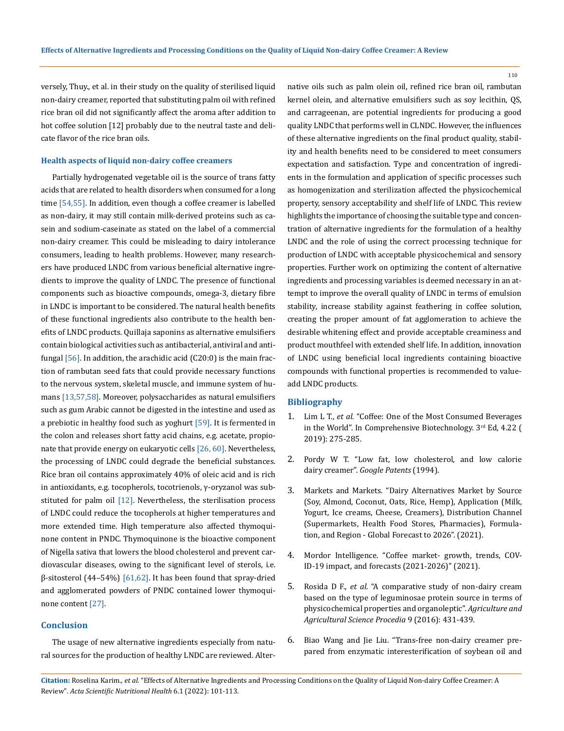versely, Thuy., et al. in their study on the quality of sterilised liquid non-dairy creamer, reported that substituting palm oil with refined rice bran oil did not significantly affect the aroma after addition to hot coffee solution [12] probably due to the neutral taste and delicate flavor of the rice bran oils.

### **Health aspects of liquid non-dairy coffee creamers**

Partially hydrogenated vegetable oil is the source of trans fatty acids that are related to health disorders when consumed for a long time [54,55]. In addition, even though a coffee creamer is labelled as non-dairy, it may still contain milk-derived proteins such as casein and sodium-caseinate as stated on the label of a commercial non-dairy creamer. This could be misleading to dairy intolerance consumers, leading to health problems. However, many researchers have produced LNDC from various beneficial alternative ingredients to improve the quality of LNDC. The presence of functional components such as bioactive compounds, omega-3, dietary fibre in LNDC is important to be considered. The natural health benefits of these functional ingredients also contribute to the health benefits of LNDC products. Quillaja saponins as alternative emulsifiers contain biological activities such as antibacterial, antiviral and antifungal  $[56]$ . In addition, the arachidic acid  $(C20:0)$  is the main fraction of rambutan seed fats that could provide necessary functions to the nervous system, skeletal muscle, and immune system of humans [13,57,58]. Moreover, polysaccharides as natural emulsifiers such as gum Arabic cannot be digested in the intestine and used as a prebiotic in healthy food such as yoghurt  $[59]$ . It is fermented in the colon and releases short fatty acid chains, e.g. acetate, propionate that provide energy on eukaryotic cells [26, 60]. Nevertheless, the processing of LNDC could degrade the beneficial substances. Rice bran oil contains approximately 40% of oleic acid and is rich in antioxidants, e.g. tocopherols, tocotrienols, γ-oryzanol was substituted for palm oil  $[12]$ . Nevertheless, the sterilisation process of LNDC could reduce the tocopherols at higher temperatures and more extended time. High temperature also affected thymoquinone content in PNDC. Thymoquinone is the bioactive component of Nigella sativa that lowers the blood cholesterol and prevent cardiovascular diseases, owing to the significant level of sterols, i.e.  $β$ -sitosterol (44–54%) [61,62]. It has been found that spray-dried and agglomerated powders of PNDC contained lower thymoquinone content [27].

## **Conclusion**

The usage of new alternative ingredients especially from natural sources for the production of healthy LNDC are reviewed. Alternative oils such as palm olein oil, refined rice bran oil, rambutan kernel olein, and alternative emulsifiers such as soy lecithin, QS, and carrageenan, are potential ingredients for producing a good quality LNDC that performs well in CLNDC. However, the influences of these alternative ingredients on the final product quality, stability and health benefits need to be considered to meet consumers expectation and satisfaction. Type and concentration of ingredients in the formulation and application of specific processes such as homogenization and sterilization affected the physicochemical property, sensory acceptability and shelf life of LNDC. This review highlights the importance of choosing the suitable type and concentration of alternative ingredients for the formulation of a healthy LNDC and the role of using the correct processing technique for production of LNDC with acceptable physicochemical and sensory properties. Further work on optimizing the content of alternative ingredients and processing variables is deemed necessary in an attempt to improve the overall quality of LNDC in terms of emulsion stability, increase stability against feathering in coffee solution, creating the proper amount of fat agglomeration to achieve the desirable whitening effect and provide acceptable creaminess and product mouthfeel with extended shelf life. In addition, innovation of LNDC using beneficial local ingredients containing bioactive compounds with functional properties is recommended to valueadd LNDC products.

### **Bibliography**

- 1. Lim L T., *et al.* "Coffee: One of the Most Consumed Beverages in the World". In Comprehensive Biotechnology. 3rd Ed, 4.22 ( 2019): 275-285.
- 2. [Pordy W T. "Low fat, low cholesterol, and low calorie](https://patents.google.com/patent/US5366751A/en)  dairy creamer". *[Google Patents](https://patents.google.com/patent/US5366751A/en)* (1994).
- 3. [Markets and Markets. "Dairy Alternatives Market by Source](https://www.marketsandmarkets.com/Market-Reports/dairy-alternative-plant-milk-beverages-market-677.html) [\(Soy, Almond, Coconut, Oats, Rice, Hemp\), Application \(Milk,](https://www.marketsandmarkets.com/Market-Reports/dairy-alternative-plant-milk-beverages-market-677.html)  [Yogurt, Ice creams, Cheese, Creamers\), Distribution Channel](https://www.marketsandmarkets.com/Market-Reports/dairy-alternative-plant-milk-beverages-market-677.html)  [\(Supermarkets, Health Food Stores, Pharmacies\), Formula](https://www.marketsandmarkets.com/Market-Reports/dairy-alternative-plant-milk-beverages-market-677.html)[tion, and Region - Global Forecast to 2026". \(2021\).](https://www.marketsandmarkets.com/Market-Reports/dairy-alternative-plant-milk-beverages-market-677.html)
- 4. [Mordor Intelligence. "Coffee market- growth, trends, COV-](https://www.mordorintelligence.com/industry-reports/coffee-market)ID-19 impact, and [forecasts \(2021-2026\)" \(2021\).](https://www.mordorintelligence.com/industry-reports/coffee-market)
- 5. Rosida D F., *et al.* ["A comparative study of non-dairy cream](https://www.sciencedirect.com/science/article/pii/S2210784316301607)  [based on the type of leguminosae protein source in terms of](https://www.sciencedirect.com/science/article/pii/S2210784316301607) [physicochemical properties and organoleptic".](https://www.sciencedirect.com/science/article/pii/S2210784316301607) *Agriculture and [Agricultural Science Procedia](https://www.sciencedirect.com/science/article/pii/S2210784316301607)* 9 (2016): 431-439.
- 6. [Biao Wang and Jie Liu. "Trans-free non-dairy creamer pre](https://onlinelibrary.wiley.com/doi/abs/10.1111/jfpe.12090)[pared from enzymatic interesterification of soybean oil and](https://onlinelibrary.wiley.com/doi/abs/10.1111/jfpe.12090)

**Citation:** Roselina Karim*., et al.* "Effects of Alternative Ingredients and Processing Conditions on the Quality of Liquid Non-dairy Coffee Creamer: A Review". *Acta Scientific Nutritional Health* 6.1 (2022): 101-113.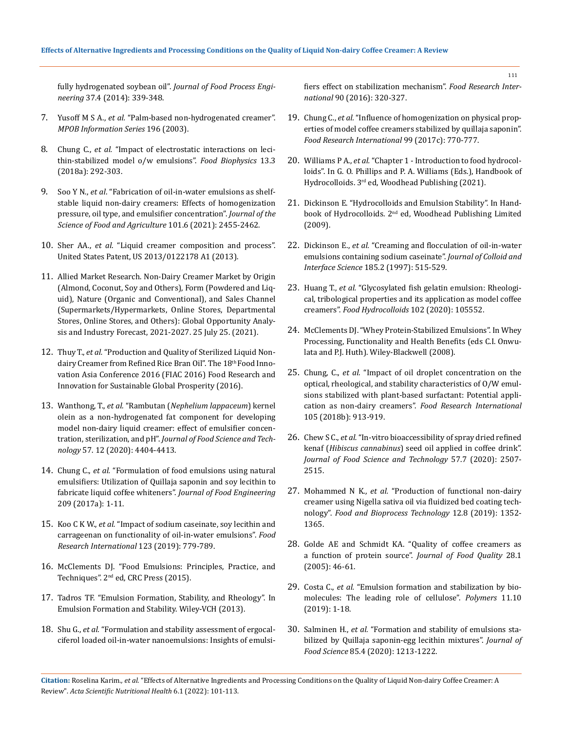fully hydrogenated soybean oil". *[Journal of Food Process Engi](https://onlinelibrary.wiley.com/doi/abs/10.1111/jfpe.12090)neering* [37.4 \(2014\): 339-348.](https://onlinelibrary.wiley.com/doi/abs/10.1111/jfpe.12090)

- 7. Yusoff M S A., *et al.* ["Palm-based non-hydrogenated creamer".](http://palmoilis.mpob.gov.my/publications/TOT/tt196.pdf)  *[MPOB Information Series](http://palmoilis.mpob.gov.my/publications/TOT/tt196.pdf)* 196 (2003).
- 8. Chung C., *et al.* ["Impact of electrostatic interactions on leci](https://link.springer.com/article/10.1007/s11483-018-9535-6)[thin-stabilized model o/w emulsions".](https://link.springer.com/article/10.1007/s11483-018-9535-6) *Food Biophysics* 13.3 [\(2018a\): 292-303.](https://link.springer.com/article/10.1007/s11483-018-9535-6)
- 9. Soo Y N., *et al*[. "Fabrication of oil-in-water emulsions as shelf](https://onlinelibrary.wiley.com/doi/abs/10.1002/jsfa.10871)[stable liquid non-dairy creamers: Effects of homogenization](https://onlinelibrary.wiley.com/doi/abs/10.1002/jsfa.10871)  [pressure, oil type, and emulsifier concentration".](https://onlinelibrary.wiley.com/doi/abs/10.1002/jsfa.10871) *Journal of the [Science of Food and Agriculture](https://onlinelibrary.wiley.com/doi/abs/10.1002/jsfa.10871)* 101.6 (2021): 2455-2462.
- 10. Sher AA., *et al*[. "Liquid creamer composition and](https://patents.google.com/patent/US20130122178A1/en) process". [United States Patent, US 2013/0122178 A1 \(2013\).](https://patents.google.com/patent/US20130122178A1/en)
- 11. [Allied Market Research. Non-Dairy Creamer Market by Origin](https://www.alliedmarketresearch.com/non-dairy-creamer-market-A06538)  [\(Almond, Coconut, Soy and Others\), Form \(Powdered and Liq](https://www.alliedmarketresearch.com/non-dairy-creamer-market-A06538)[uid\), Nature \(Organic and Conventional\), and Sales Channel](https://www.alliedmarketresearch.com/non-dairy-creamer-market-A06538)  [\(Supermarkets/Hypermarkets, Online Stores, Departmental](https://www.alliedmarketresearch.com/non-dairy-creamer-market-A06538)  [Stores, Online Stores, and Others\): Global Opportunity Analy](https://www.alliedmarketresearch.com/non-dairy-creamer-market-A06538)[sis and Industry Forecast, 2021-2027. 25 July 25. \(2021\).](https://www.alliedmarketresearch.com/non-dairy-creamer-market-A06538)
- 12. Thuy T., *et al.* ["Production and Quality of Sterilized Liquid Non](https://www.researchgate.net/publication/313672296)[dairy Creamer from Refined Rice Bran Oil". The 18](https://www.researchgate.net/publication/313672296)<sup>th</sup> Food Inno[vation Asia Conference 2016 \(FIAC 2016\) Food Research and](https://www.researchgate.net/publication/313672296)  [Innovation for Sustainable Global Prosperity \(2016\).](https://www.researchgate.net/publication/313672296)
- 13. Wanthong, T., *et al.* "Rambutan (*[Nephelium lappaceum](https://link.springer.com/article/10.1007/s13197-020-04477-4)*) kernel [olein as a non-hydrogenated fat component for developing](https://link.springer.com/article/10.1007/s13197-020-04477-4)  [model non-dairy liquid creamer: effect of emulsifier concen](https://link.springer.com/article/10.1007/s13197-020-04477-4)tration, sterilization, and pH". *[Journal of Food Science and Tech](https://link.springer.com/article/10.1007/s13197-020-04477-4)nology* [57. 12 \(2020\): 4404-4413.](https://link.springer.com/article/10.1007/s13197-020-04477-4)
- 14. Chung C., *et al.* ["Formulation of food emulsions using natural](https://www.sciencedirect.com/science/article/abs/pii/S0260877417301516)  [emulsifiers: Utilization of Quillaja saponin and soy lecithin to](https://www.sciencedirect.com/science/article/abs/pii/S0260877417301516)  fabricate liquid coffee whiteners". *[Journal of Food Engineering](https://www.sciencedirect.com/science/article/abs/pii/S0260877417301516)* [209 \(2017a\): 1-11.](https://www.sciencedirect.com/science/article/abs/pii/S0260877417301516)
- 15. Koo C K W., *et al.* ["Impact of sodium caseinate, soy lecithin and](https://www.sciencedirect.com/science/article/abs/pii/S0963996919303643)  [carrageenan on functionality of oil-in-water emulsions".](https://www.sciencedirect.com/science/article/abs/pii/S0963996919303643) *Food [Research International](https://www.sciencedirect.com/science/article/abs/pii/S0963996919303643)* 123 (2019): 779-789.
- 16. [McClements DJ. "Food Emulsions: Principles, Practice, and](https://www.taylorfrancis.com/books/mono/10.1201/9781420039436/food-emulsions-david-julian-mcclements)  Techniques". 2<sup>nd</sup> ed, CRC Press (2015).
- 17. [Tadros TF. "Emulsion Formation, Stability, and Rheology". In](https://application.wiley-vch.de/books/sample/3527319913_c01.pdf)  [Emulsion Formation and Stability. Wiley-VCH \(2013\).](https://application.wiley-vch.de/books/sample/3527319913_c01.pdf)
- 18. Shu G., *et al.* ["Formulation and stability assessment of ergocal](https://www.sciencedirect.com/science/article/abs/pii/S0963996916304483)[ciferol loaded oil-in-water nanoemulsions: Insights of emulsi-](https://www.sciencedirect.com/science/article/abs/pii/S0963996916304483)

[fiers effect on stabilization mechanism".](https://www.sciencedirect.com/science/article/abs/pii/S0963996916304483) *Food Research International* [90 \(2016\): 320-327.](https://www.sciencedirect.com/science/article/abs/pii/S0963996916304483)

- 19. Chung C., *et al.* ["Influence of homogenization on physical prop](https://pubmed.ncbi.nlm.nih.gov/28784543/)[erties of model coffee creamers stabilized by quillaja saponin".](https://pubmed.ncbi.nlm.nih.gov/28784543/)  *[Food Research International](https://pubmed.ncbi.nlm.nih.gov/28784543/)* 99 (2017c): 770-777.
- 20. Williams P A., *et al.* ["Chapter 1 Introduction to food hydrocol](https://hal.archives-ouvertes.fr/hal-01454417/document)[loids". In G. O. Phillips and P. A. Williams \(Eds.\), Handbook of](https://hal.archives-ouvertes.fr/hal-01454417/document)  [Hydrocolloids. 3rd ed, Woodhead Publishing \(2021\).](https://hal.archives-ouvertes.fr/hal-01454417/document)
- 21. [Dickinson E. "Hydrocolloids and Emulsion Stability". In Hand](https://www.cabdirect.org/cabdirect/abstract/20093209342)[book of Hydrocolloids. 2nd ed, Woodhead Publishing Limited](https://www.cabdirect.org/cabdirect/abstract/20093209342)  [\(2009\).](https://www.cabdirect.org/cabdirect/abstract/20093209342)
- 22. Dickinson E., *et al.* ["Creaming and flocculation of oil-in-water](https://www.sciencedirect.com/science/article/abs/pii/S0021979796946056)  [emulsions containing sodium caseinate".](https://www.sciencedirect.com/science/article/abs/pii/S0021979796946056) *Journal of Colloid and Interface Science* [185.2 \(1997\): 515-529.](https://www.sciencedirect.com/science/article/abs/pii/S0021979796946056)
- 23. Huang T., *et al.* ["Glycosylated fish gelatin emulsion: Rheologi](https://www.sciencedirect.com/science/article/abs/pii/S0268005X19320351)[cal, tribological properties and its application as model coffee](https://www.sciencedirect.com/science/article/abs/pii/S0268005X19320351)  creamers". *[Food Hydrocolloids](https://www.sciencedirect.com/science/article/abs/pii/S0268005X19320351)* 102 (2020): 105552.
- 24. [McClements DJ. "Whey Protein-Stabilized Emulsions". In Whey](https://onlinelibrary.wiley.com/doi/10.1002/9780813803845.ch4)  [Processing, Functionality and Health Benefits \(eds C.I. Onwu](https://onlinelibrary.wiley.com/doi/10.1002/9780813803845.ch4)[lata and P.J. Huth\). Wiley-Blackwell \(2008\).](https://onlinelibrary.wiley.com/doi/10.1002/9780813803845.ch4)
- 25. Chung, C., *et al.* ["Impact of oil droplet concentration on the](https://pubmed.ncbi.nlm.nih.gov/29433288/)  [optical, rheological, and stability characteristics of O/W emul](https://pubmed.ncbi.nlm.nih.gov/29433288/)[sions stabilized with plant-based surfactant: Potential appli](https://pubmed.ncbi.nlm.nih.gov/29433288/)cation as non-dairy creamers". *[Food Research International](https://pubmed.ncbi.nlm.nih.gov/29433288/)* [105 \(2018b\): 913-919.](https://pubmed.ncbi.nlm.nih.gov/29433288/)
- 26. Chew S C., *et al.* ["In-vitro bioaccessibility of spray dried refined](https://link.springer.com/article/10.1007/s13197-020-04286-9)  kenaf (*Hibiscus cannabinus*[\) seed oil applied in coffee drink".](https://link.springer.com/article/10.1007/s13197-020-04286-9)  *[Journal of Food Science and Technology](https://link.springer.com/article/10.1007/s13197-020-04286-9)* 57.7 (2020): 2507- [2515.](https://link.springer.com/article/10.1007/s13197-020-04286-9)
- 27. Mohammed N K., *et al.* ["Production of functional non-dairy](https://link.springer.com/article/10.1007/s11947-019-02294-y)  [creamer using Nigella sativa oil via fluidized bed coating tech](https://link.springer.com/article/10.1007/s11947-019-02294-y)nology". *[Food and Bioprocess Technology](https://link.springer.com/article/10.1007/s11947-019-02294-y)* 12.8 (2019): 1352- [1365.](https://link.springer.com/article/10.1007/s11947-019-02294-y)
- 28. [Golde AE and Schmidt KA. "Quality of coffee creamers as](https://onlinelibrary.wiley.com/doi/epdf/10.1111/j.1745-4557.2005.00011.x)  [a function of protein source".](https://onlinelibrary.wiley.com/doi/epdf/10.1111/j.1745-4557.2005.00011.x) *Journal of Food Quality* 28.1 [\(2005\): 46-61.](https://onlinelibrary.wiley.com/doi/epdf/10.1111/j.1745-4557.2005.00011.x)
- 29. Costa C., *et al.* ["Emulsion formation and stabilization by bio](https://pubmed.ncbi.nlm.nih.gov/31561633/)[molecules: The leading role of cellulose".](https://pubmed.ncbi.nlm.nih.gov/31561633/) *Polymers* 11.10 [\(2019\): 1-18.](https://pubmed.ncbi.nlm.nih.gov/31561633/)
- 30. Salminen H., *et al.* ["Formation and stability of emulsions sta](https://ift.onlinelibrary.wiley.com/doi/full/10.1111/1750-3841.15104)[bilized by Quillaja saponin-egg lecithin mixtures".](https://ift.onlinelibrary.wiley.com/doi/full/10.1111/1750-3841.15104) *Journal of Food Science* [85.4 \(2020\): 1213-1222.](https://ift.onlinelibrary.wiley.com/doi/full/10.1111/1750-3841.15104)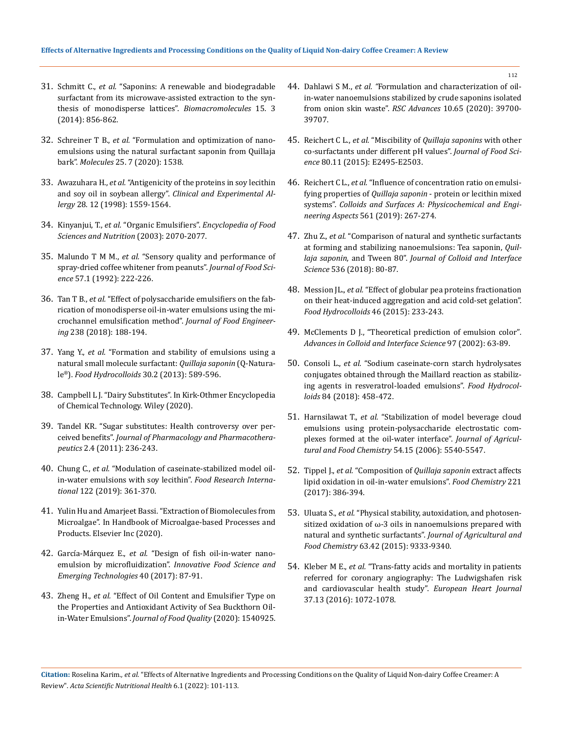- 31. Schmitt C., *et al.* ["Saponins: A renewable and biodegradable](https://pubs.acs.org/doi/10.1021/bm401708m)  [surfactant from its microwave-assisted extraction to the syn](https://pubs.acs.org/doi/10.1021/bm401708m)[thesis of monodisperse lattices".](https://pubs.acs.org/doi/10.1021/bm401708m) *Biomacromolecules* 15. 3 [\(2014\): 856-862.](https://pubs.acs.org/doi/10.1021/bm401708m)
- 32. Schreiner T B., *et al.* ["Formulation and optimization of nano](https://www.ncbi.nlm.nih.gov/pmc/articles/PMC7181021/)[emulsions using the natural surfactant saponin from Quillaja](https://www.ncbi.nlm.nih.gov/pmc/articles/PMC7181021/)  bark". *Molecules* [25. 7 \(2020\): 1538.](https://www.ncbi.nlm.nih.gov/pmc/articles/PMC7181021/)
- 33. Awazuhara H., *et al.* ["Antigenicity of the proteins in soy lecithin](https://agris.fao.org/agris-search/search.do?recordID=GB1999008342)  and soy oil in soybean allergy". *[Clinical and Experimental Al](https://agris.fao.org/agris-search/search.do?recordID=GB1999008342)lergy* [28. 12 \(1998\): 1559-1564.](https://agris.fao.org/agris-search/search.do?recordID=GB1999008342)
- 34. Kinyanjui, T., *et al.* "Organic Emulsifiers". *[Encyclopedia of Food](https://www.sciencedirect.com/science/article/pii/B012227055X004016)  [Sciences and Nutrition](https://www.sciencedirect.com/science/article/pii/B012227055X004016)* (2003): 2070-2077.
- 35. Malundo T M M., *et al.* ["Sensory quality and performance of](https://ift.onlinelibrary.wiley.com/doi/abs/10.1111/j.1365-2621.1992.tb05460.x)  [spray-dried coffee whitener from peanuts".](https://ift.onlinelibrary.wiley.com/doi/abs/10.1111/j.1365-2621.1992.tb05460.x) *Journal of Food Science* [57.1 \(1992\): 222-226.](https://ift.onlinelibrary.wiley.com/doi/abs/10.1111/j.1365-2621.1992.tb05460.x)
- 36. Tan T B., *et al.* ["Effect of polysaccharide emulsifiers on the fab](https://www.sciencedirect.com/science/article/abs/pii/S0260877418302760)[rication of monodisperse oil-in-water emulsions using the mi](https://www.sciencedirect.com/science/article/abs/pii/S0260877418302760)[crochannel emulsification method".](https://www.sciencedirect.com/science/article/abs/pii/S0260877418302760) *Journal of Food Engineering* [238 \(2018\): 188-194.](https://www.sciencedirect.com/science/article/abs/pii/S0260877418302760)
- 37. Yang Y., *et al.* ["Formation and stability of emulsions using a](https://www.sciencedirect.com/science/article/abs/pii/S0268005X12001804)  [natural small molecule surfactant:](https://www.sciencedirect.com/science/article/abs/pii/S0268005X12001804) *Quillaja saponin* (Q-Naturale®). *[Food Hydrocolloids](https://www.sciencedirect.com/science/article/abs/pii/S0268005X12001804)* 30.2 (2013): 589-596.
- 38. [Campbell L J. "Dairy Substitutes". In Kirk-Othmer Encyclopedia](https://onlinelibrary.wiley.com/doi/10.1002/0471238961.0401091808011816.a01.pub3)  [of Chemical Technology. Wiley \(2020\).](https://onlinelibrary.wiley.com/doi/10.1002/0471238961.0401091808011816.a01.pub3)
- 39. [Tandel KR. "Sugar substitutes: Health controversy over per](https://www.ncbi.nlm.nih.gov/pmc/articles/PMC3198517/)ceived benefits". *[Journal of Pharmacology and Pharmacothera](https://www.ncbi.nlm.nih.gov/pmc/articles/PMC3198517/)peutics* [2.4 \(2011\): 236-243.](https://www.ncbi.nlm.nih.gov/pmc/articles/PMC3198517/)
- 40. Chung C., *et al.* ["Modulation of caseinate-stabilized model oil](https://pubmed.ncbi.nlm.nih.gov/31229089/)[in-water emulsions with soy lecithin".](https://pubmed.ncbi.nlm.nih.gov/31229089/) *Food Research International* [122 \(2019\): 361-370.](https://pubmed.ncbi.nlm.nih.gov/31229089/)
- 41. [Yulin Hu and Amarjeet Bassi. "Extraction of Biomolecules from](https://www.sciencedirect.com/science/article/pii/B9780128185360000117)  [Microalgae". In Handbook of Microalgae-based Processes and](https://www.sciencedirect.com/science/article/pii/B9780128185360000117)  [Products. Elsevier Inc \(2020\).](https://www.sciencedirect.com/science/article/pii/B9780128185360000117)
- 42. García-Márquez E., *et al.* ["Design of fish oil-in-water nano](https://www.sciencedirect.com/science/article/abs/pii/S1466856416306683)emulsion by microfluidization". *[Innovative Food Science and](https://www.sciencedirect.com/science/article/abs/pii/S1466856416306683)  [Emerging Technologies](https://www.sciencedirect.com/science/article/abs/pii/S1466856416306683)* 40 (2017): 87-91.
- 43. Zheng H., *et al.* ["Effect of Oil Content and Emulsifier Type on](https://www.hindawi.com/journals/jfq/2020/1540925/)  [the Properties and Antioxidant Activity of Sea Buckthorn Oil](https://www.hindawi.com/journals/jfq/2020/1540925/)in-Water Emulsions". *[Journal of Food Quality](https://www.hindawi.com/journals/jfq/2020/1540925/)* (2020): 1540925.
- 44. Dahlawi S M., *et al. "*[Formulation and characterization of oil](https://pubs.rsc.org/en/content/articlelanding/2020/ra/d0ra07756a)[in-water nanoemulsions stabilized by crude saponins isolated](https://pubs.rsc.org/en/content/articlelanding/2020/ra/d0ra07756a)  [from onion skin waste".](https://pubs.rsc.org/en/content/articlelanding/2020/ra/d0ra07756a) *RSC Advances* 10.65 (2020): 39700- [39707.](https://pubs.rsc.org/en/content/articlelanding/2020/ra/d0ra07756a)
- 45. Reichert C L., *et al.* "Miscibility of *[Quillaja saponins](https://ift.onlinelibrary.wiley.com/doi/abs/10.1111/1750-3841.13097)* with other [co-surfactants under different pH values".](https://ift.onlinelibrary.wiley.com/doi/abs/10.1111/1750-3841.13097) *Journal of Food Science* [80.11 \(2015\): E2495-E2503.](https://ift.onlinelibrary.wiley.com/doi/abs/10.1111/1750-3841.13097)
- 46. Reichert C L., *et al.* ["Influence of concentration ratio on emulsi](https://www.sciencedirect.com/science/article/abs/pii/S092777571831522X)fying properties of *Quillaja saponin* [- protein or lecithin mixed](https://www.sciencedirect.com/science/article/abs/pii/S092777571831522X)  systems". *[Colloids and Surfaces A: Physicochemical and Engi](https://www.sciencedirect.com/science/article/abs/pii/S092777571831522X)neering Aspects* [561 \(2019\): 267-274.](https://www.sciencedirect.com/science/article/abs/pii/S092777571831522X)
- 47. Zhu Z., *et al.* ["Comparison of natural and synthetic surfactants](https://www.sciencedirect.com/science/article/abs/pii/S0021979718312128)  [at forming and stabilizing nanoemulsions: Tea saponin,](https://www.sciencedirect.com/science/article/abs/pii/S0021979718312128) *Quillaja saponin*, and Tween 80". *[Journal of Colloid and Interface](https://www.sciencedirect.com/science/article/abs/pii/S0021979718312128)  Science* [536 \(2018\): 80-87.](https://www.sciencedirect.com/science/article/abs/pii/S0021979718312128)
- 48. Mession JL., *et al.* ["Effect of globular pea proteins fractionation](https://www.sciencedirect.com/science/article/abs/pii/S0268005X14004354)  [on their heat-induced aggregation and acid cold-set gelation".](https://www.sciencedirect.com/science/article/abs/pii/S0268005X14004354)  *[Food Hydrocolloids](https://www.sciencedirect.com/science/article/abs/pii/S0268005X14004354)* 46 (2015): 233-243.
- 49. [McClements D J., "Theoretical prediction of emulsion color"](https://pubmed.ncbi.nlm.nih.gov/12027025/)*. [Advances in Colloid and Interface Science](https://pubmed.ncbi.nlm.nih.gov/12027025/)* 97 (2002): 63-89.
- 50. Consoli L., *et al.* ["Sodium caseinate-corn starch hydrolysates](https://www.sciencedirect.com/science/article/abs/pii/S0268005X18305022?via%3Dihub)  [conjugates obtained through the Maillard reaction as stabiliz](https://www.sciencedirect.com/science/article/abs/pii/S0268005X18305022?via%3Dihub)[ing agents in resveratrol-loaded emulsions".](https://www.sciencedirect.com/science/article/abs/pii/S0268005X18305022?via%3Dihub) *Food Hydrocolloids* [84 \(2018\): 458-472.](https://www.sciencedirect.com/science/article/abs/pii/S0268005X18305022?via%3Dihub)
- 51. Harnsilawat T., *et al.* ["Stabilization of model beverage cloud](https://pubs.acs.org/doi/10.1021/jf052860a)  [emulsions using protein-polysaccharide electrostatic com](https://pubs.acs.org/doi/10.1021/jf052860a)[plexes formed at the oil-water interface".](https://pubs.acs.org/doi/10.1021/jf052860a) *Journal of Agricul[tural and Food Chemistry](https://pubs.acs.org/doi/10.1021/jf052860a)* 54.15 (2006): 5540-5547.
- 52. Tippel J., *et al.* "Composition of *[Quillaja saponin](https://pubmed.ncbi.nlm.nih.gov/27979218/)* extract affects [lipid oxidation in oil-in-water emulsions".](https://pubmed.ncbi.nlm.nih.gov/27979218/) *Food Chemistry* 221 [\(2017\): 386-394.](https://pubmed.ncbi.nlm.nih.gov/27979218/)
- 53. Uluata S., *et al.* ["Physical stability, autoxidation, and photosen](https://pubs.acs.org/doi/abs/10.1021/acs.jafc.5b03572)sitized oxidation of  $\omega$ -3 oils in nanoemulsions prepared with [natural and synthetic surfactants".](https://pubs.acs.org/doi/abs/10.1021/acs.jafc.5b03572) *Journal of Agricultural and Food Chemistry* [63.42 \(2015\): 9333-9340.](https://pubs.acs.org/doi/abs/10.1021/acs.jafc.5b03572)
- 54. Kleber M E., *et al.* ["Trans-fatty acids and mortality in patients](https://pubmed.ncbi.nlm.nih.gov/26396230/)  [referred for coronary angiography: The Ludwigshafen risk](https://pubmed.ncbi.nlm.nih.gov/26396230/)  [and cardiovascular health study".](https://pubmed.ncbi.nlm.nih.gov/26396230/) *European Heart Journal* [37.13 \(2016\): 1072-1078.](https://pubmed.ncbi.nlm.nih.gov/26396230/)

**Citation:** Roselina Karim*., et al.* "Effects of Alternative Ingredients and Processing Conditions on the Quality of Liquid Non-dairy Coffee Creamer: A Review". *Acta Scientific Nutritional Health* 6.1 (2022): 101-113.